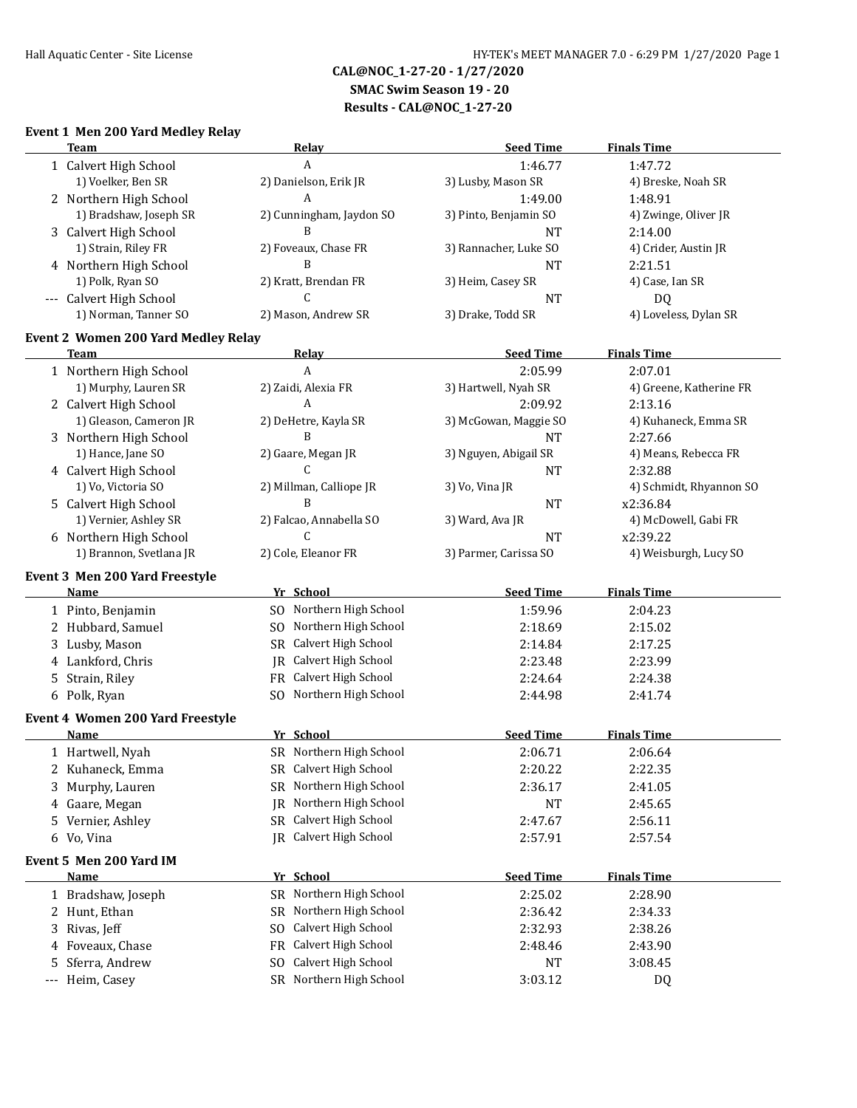# **SMAC Swim Season 19 - 20**

**Results - CAL@NOC\_1-27-20**

# **Event 1 Men 200 Yard Medley Relay**

|    | <b>Team</b>                                | Relay                                | <b>Seed Time</b>      | <b>Finals Time</b>      |
|----|--------------------------------------------|--------------------------------------|-----------------------|-------------------------|
|    | 1 Calvert High School                      | A                                    | 1:46.77               | 1:47.72                 |
|    | 1) Voelker, Ben SR                         | 2) Danielson, Erik JR                | 3) Lusby, Mason SR    | 4) Breske, Noah SR      |
|    | 2 Northern High School                     | A                                    | 1:49.00               | 1:48.91                 |
|    | 1) Bradshaw, Joseph SR                     | 2) Cunningham, Jaydon SO             | 3) Pinto, Benjamin SO | 4) Zwinge, Oliver JR    |
|    | 3 Calvert High School                      | B                                    | <b>NT</b>             | 2:14.00                 |
|    | 1) Strain, Riley FR                        | 2) Foveaux, Chase FR                 | 3) Rannacher, Luke SO | 4) Crider, Austin JR    |
|    | 4 Northern High School                     | B                                    | <b>NT</b>             | 2:21.51                 |
|    | 1) Polk, Ryan SO                           | 2) Kratt, Brendan FR                 | 3) Heim, Casey SR     | 4) Case, Ian SR         |
|    | --- Calvert High School                    | C                                    | <b>NT</b>             | DQ                      |
|    | 1) Norman, Tanner SO                       | 2) Mason, Andrew SR                  | 3) Drake, Todd SR     | 4) Loveless, Dylan SR   |
|    | <b>Event 2 Women 200 Yard Medley Relay</b> |                                      |                       |                         |
|    | Team                                       | <b>Relay</b>                         | <b>Seed Time</b>      | <b>Finals Time</b>      |
|    | 1 Northern High School                     | A                                    | 2:05.99               | 2:07.01                 |
|    | 1) Murphy, Lauren SR                       | 2) Zaidi, Alexia FR                  | 3) Hartwell, Nyah SR  | 4) Greene, Katherine FR |
|    | 2 Calvert High School                      | A                                    | 2:09.92               | 2:13.16                 |
|    | 1) Gleason, Cameron JR                     | 2) DeHetre, Kayla SR                 | 3) McGowan, Maggie SO | 4) Kuhaneck, Emma SR    |
|    | 3 Northern High School                     | B                                    | <b>NT</b>             | 2:27.66                 |
|    | 1) Hance, Jane SO                          | 2) Gaare, Megan JR                   | 3) Nguyen, Abigail SR | 4) Means, Rebecca FR    |
|    | 4 Calvert High School                      | C                                    | <b>NT</b>             | 2:32.88                 |
|    | 1) Vo, Victoria SO                         | 2) Millman, Calliope JR              | 3) Vo, Vina JR        | 4) Schmidt, Rhyannon SO |
|    | 5 Calvert High School                      | B                                    | <b>NT</b>             | x2:36.84                |
|    | 1) Vernier, Ashley SR                      | 2) Falcao, Annabella SO              | 3) Ward, Ava JR       | 4) McDowell, Gabi FR    |
|    | 6 Northern High School                     | $\mathsf{C}$                         | <b>NT</b>             | x2:39.22                |
|    | 1) Brannon, Svetlana JR                    | 2) Cole, Eleanor FR                  | 3) Parmer, Carissa SO | 4) Weisburgh, Lucy SO   |
|    |                                            |                                      |                       |                         |
|    | Event 3 Men 200 Yard Freestyle             |                                      |                       |                         |
|    | <b>Name</b>                                | Yr School<br>SO Northern High School | <b>Seed Time</b>      | <b>Finals Time</b>      |
|    | 1 Pinto, Benjamin                          |                                      | 1:59.96               | 2:04.23                 |
|    | 2 Hubbard, Samuel                          | Northern High School<br>SO.          | 2:18.69               | 2:15.02                 |
|    | 3 Lusby, Mason                             | SR Calvert High School               | 2:14.84               | 2:17.25                 |
|    | 4 Lankford, Chris                          | JR Calvert High School               | 2:23.48               | 2:23.99                 |
|    | 5 Strain, Riley                            | Calvert High School<br><b>FR</b>     | 2:24.64               | 2:24.38                 |
|    | 6 Polk, Ryan                               | Northern High School<br>SO.          | 2:44.98               | 2:41.74                 |
|    | <b>Event 4 Women 200 Yard Freestyle</b>    |                                      |                       |                         |
|    | Name                                       | Yr School                            | <b>Seed Time</b>      | <b>Finals Time</b>      |
|    | 1 Hartwell, Nyah                           | SR Northern High School              | 2:06.71               | 2:06.64                 |
|    | 2 Kuhaneck, Emma                           | SR Calvert High School               | 2:20.22               | 2:22.35                 |
|    | 3 Murphy, Lauren                           | SR Northern High School              | 2:36.17               | 2:41.05                 |
|    | 4 Gaare, Megan                             | JR Northern High School              | <b>NT</b>             | 2:45.65                 |
|    | 5 Vernier, Ashley                          | SR Calvert High School               | 2:47.67               | 2:56.11                 |
|    | 6 Vo, Vina                                 | JR Calvert High School               | 2:57.91               | 2:57.54                 |
|    |                                            |                                      |                       |                         |
|    | Event 5 Men 200 Yard IM                    |                                      | <b>Seed Time</b>      |                         |
|    | <b>Name</b>                                | Yr School                            |                       | <b>Finals Time</b>      |
|    | 1 Bradshaw, Joseph                         | SR Northern High School              | 2:25.02               | 2:28.90                 |
|    | 2 Hunt, Ethan                              | SR Northern High School              | 2:36.42               | 2:34.33                 |
|    | 3 Rivas, Jeff                              | Calvert High School<br>SO.           | 2:32.93               | 2:38.26                 |
|    | 4 Foveaux, Chase                           | Calvert High School<br>FR            | 2:48.46               | 2:43.90                 |
| 5. | Sferra, Andrew                             | SO Calvert High School               | <b>NT</b>             | 3:08.45                 |
|    | --- Heim, Casey                            | SR Northern High School              | 3:03.12               | DQ                      |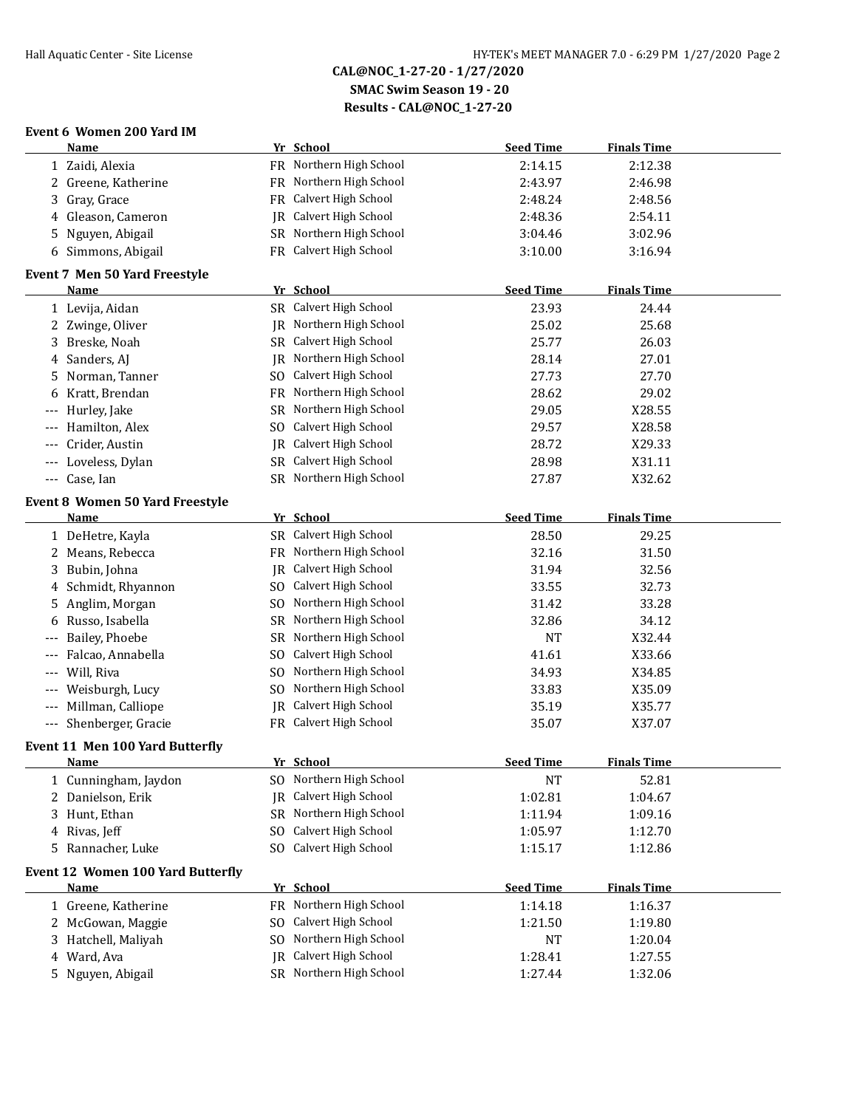**SMAC Swim Season 19 - 20**

**Results - CAL@NOC\_1-27-20**

# **Event 6 Women 200 Yard IM**

|       | Name                                                |     | Yr School                     | <b>Seed Time</b> | <b>Finals Time</b> |  |
|-------|-----------------------------------------------------|-----|-------------------------------|------------------|--------------------|--|
|       | 1 Zaidi, Alexia                                     |     | FR Northern High School       | 2:14.15          | 2:12.38            |  |
|       | 2 Greene, Katherine                                 |     | FR Northern High School       | 2:43.97          | 2:46.98            |  |
| 3     | Gray, Grace                                         |     | FR Calvert High School        | 2:48.24          | 2:48.56            |  |
| 4     | Gleason, Cameron                                    |     | <b>IR</b> Calvert High School | 2:48.36          | 2:54.11            |  |
| 5     | Nguyen, Abigail                                     |     | SR Northern High School       | 3:04.46          | 3:02.96            |  |
|       | 6 Simmons, Abigail                                  |     | FR Calvert High School        | 3:10.00          | 3:16.94            |  |
|       |                                                     |     |                               |                  |                    |  |
|       | <b>Event 7 Men 50 Yard Freestyle</b><br><u>Name</u> |     | Yr School                     | <b>Seed Time</b> | <b>Finals Time</b> |  |
|       |                                                     |     | SR Calvert High School        |                  |                    |  |
|       | 1 Levija, Aidan                                     |     |                               | 23.93            | 24.44              |  |
|       | 2 Zwinge, Oliver                                    |     | JR Northern High School       | 25.02            | 25.68              |  |
| 3     | Breske, Noah                                        |     | SR Calvert High School        | 25.77            | 26.03              |  |
| 4     | Sanders, AJ                                         |     | JR Northern High School       | 28.14            | 27.01              |  |
| 5     | Norman, Tanner                                      | SO. | Calvert High School           | 27.73            | 27.70              |  |
| 6     | Kratt, Brendan                                      |     | FR Northern High School       | 28.62            | 29.02              |  |
|       | Hurley, Jake                                        |     | SR Northern High School       | 29.05            | X28.55             |  |
|       | Hamilton, Alex                                      | SO. | Calvert High School           | 29.57            | X28.58             |  |
|       | Crider, Austin                                      |     | <b>IR</b> Calvert High School | 28.72            | X29.33             |  |
| $---$ | Loveless, Dylan                                     |     | SR Calvert High School        | 28.98            | X31.11             |  |
| $---$ | Case, Ian                                           |     | SR Northern High School       | 27.87            | X32.62             |  |
|       | <b>Event 8 Women 50 Yard Freestyle</b>              |     |                               |                  |                    |  |
|       | Name                                                |     | Yr School                     | <b>Seed Time</b> | <b>Finals Time</b> |  |
|       | 1 DeHetre, Kayla                                    |     | SR Calvert High School        | 28.50            | 29.25              |  |
|       | 2 Means, Rebecca                                    |     | FR Northern High School       | 32.16            | 31.50              |  |
| 3     | Bubin, Johna                                        |     | JR Calvert High School        | 31.94            | 32.56              |  |
| 4     | Schmidt, Rhyannon                                   | SO. | Calvert High School           | 33.55            | 32.73              |  |
| 5.    | Anglim, Morgan                                      | SO. | Northern High School          | 31.42            | 33.28              |  |
| 6     | Russo, Isabella                                     |     | SR Northern High School       | 32.86            | 34.12              |  |
|       | Bailey, Phoebe                                      |     | SR Northern High School       | <b>NT</b>        | X32.44             |  |
|       | Falcao, Annabella                                   | SO. | Calvert High School           | 41.61            | X33.66             |  |
|       | Will, Riva                                          |     | SO Northern High School       | 34.93            | X34.85             |  |
|       | Weisburgh, Lucy                                     |     | SO Northern High School       | 33.83            | X35.09             |  |
|       | Millman, Calliope                                   | IR  | Calvert High School           | 35.19            | X35.77             |  |
| $---$ | Shenberger, Gracie                                  |     | FR Calvert High School        | 35.07            | X37.07             |  |
|       |                                                     |     |                               |                  |                    |  |
|       | Event 11 Men 100 Yard Butterfly                     |     |                               |                  |                    |  |
|       | Name                                                |     | Yr School                     | <b>Seed Time</b> | <b>Finals Time</b> |  |
|       | 1 Cunningham, Jaydon                                |     | SO Northern High School       | NT               | 52.81              |  |
|       | 2 Danielson, Erik                                   | IR  | Calvert High School           | 1:02.81          | 1:04.67            |  |
|       | 3 Hunt, Ethan                                       |     | SR Northern High School       | 1:11.94          | 1:09.16            |  |
|       | 4 Rivas, Jeff                                       | SO. | Calvert High School           | 1:05.97          | 1:12.70            |  |
|       | 5 Rannacher, Luke                                   |     | SO Calvert High School        | 1:15.17          | 1:12.86            |  |
|       | <b>Event 12 Women 100 Yard Butterfly</b>            |     |                               |                  |                    |  |
|       | <b>Name</b>                                         |     | Yr School                     | <b>Seed Time</b> | <b>Finals Time</b> |  |
|       | 1 Greene, Katherine                                 |     | FR Northern High School       | 1:14.18          | 1:16.37            |  |
|       | 2 McGowan, Maggie                                   |     | SO Calvert High School        | 1:21.50          | 1:19.80            |  |
|       | 3 Hatchell, Maliyah                                 | SO. | Northern High School          | NT               | 1:20.04            |  |
|       | 4 Ward, Ava                                         |     | JR Calvert High School        | 1:28.41          | 1:27.55            |  |
|       | 5 Nguyen, Abigail                                   |     | SR Northern High School       | 1:27.44          | 1:32.06            |  |
|       |                                                     |     |                               |                  |                    |  |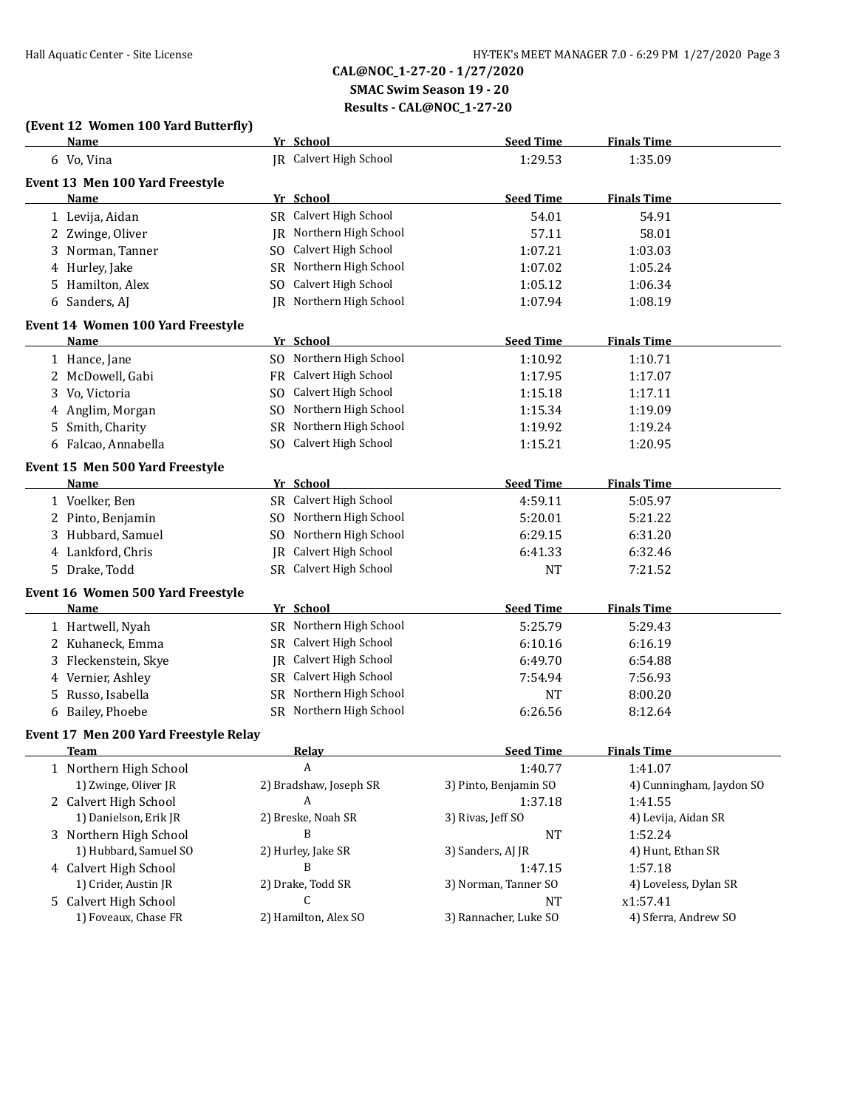**CAL@NOC\_1-27-20 - 1/27/2020 SMAC Swim Season 19 - 20**

**Results - CAL@NOC\_1-27-20**

**Name** *Yr* **School <b>Seed Time Finals Time** 

### **(Event 12 Women 100 Yard Butterfly)**

| 6 Vo, Vina                               |                      | JR Calvert High School  | 1:29.53               | 1:35.09                  |  |
|------------------------------------------|----------------------|-------------------------|-----------------------|--------------------------|--|
| Event 13 Men 100 Yard Freestyle          |                      |                         |                       |                          |  |
| Name                                     | Yr School            |                         | <b>Seed Time</b>      | <b>Finals Time</b>       |  |
| 1 Levija, Aidan                          |                      | SR Calvert High School  | 54.01                 | 54.91                    |  |
| 2 Zwinge, Oliver                         |                      | JR Northern High School | 57.11                 | 58.01                    |  |
| 3 Norman, Tanner                         |                      | SO Calvert High School  | 1:07.21               | 1:03.03                  |  |
| 4 Hurley, Jake                           |                      | SR Northern High School | 1:07.02               | 1:05.24                  |  |
| 5 Hamilton, Alex                         |                      | SO Calvert High School  | 1:05.12               | 1:06.34                  |  |
| 6 Sanders, AJ                            |                      | JR Northern High School | 1:07.94               | 1:08.19                  |  |
| <b>Event 14 Women 100 Yard Freestyle</b> |                      |                         |                       |                          |  |
| Name                                     | Yr School            |                         | <b>Seed Time</b>      | <b>Finals Time</b>       |  |
| 1 Hance, Jane                            |                      | SO Northern High School | 1:10.92               | 1:10.71                  |  |
| 2 McDowell, Gabi                         |                      | FR Calvert High School  | 1:17.95               | 1:17.07                  |  |
| 3 Vo, Victoria                           |                      | SO Calvert High School  | 1:15.18               | 1:17.11                  |  |
| 4 Anglim, Morgan                         |                      | SO Northern High School | 1:15.34               | 1:19.09                  |  |
| 5 Smith, Charity                         |                      | SR Northern High School | 1:19.92               | 1:19.24                  |  |
| 6 Falcao, Annabella                      |                      | SO Calvert High School  | 1:15.21               | 1:20.95                  |  |
| Event 15 Men 500 Yard Freestyle          |                      |                         |                       |                          |  |
| Name                                     | Yr School            |                         | <b>Seed Time</b>      | <b>Finals Time</b>       |  |
| 1 Voelker, Ben                           |                      | SR Calvert High School  | 4:59.11               | 5:05.97                  |  |
| 2 Pinto, Benjamin                        |                      | SO Northern High School | 5:20.01               | 5:21.22                  |  |
| 3 Hubbard, Samuel                        |                      | SO Northern High School | 6:29.15               | 6:31.20                  |  |
| 4 Lankford, Chris                        |                      | JR Calvert High School  | 6:41.33               | 6:32.46                  |  |
| 5 Drake, Todd                            |                      | SR Calvert High School  | <b>NT</b>             | 7:21.52                  |  |
| Event 16 Women 500 Yard Freestyle        |                      |                         |                       |                          |  |
| Name                                     | Yr School            |                         | <b>Seed Time</b>      | <b>Finals Time</b>       |  |
| 1 Hartwell, Nyah                         |                      | SR Northern High School | 5:25.79               | 5:29.43                  |  |
| 2 Kuhaneck, Emma                         |                      | SR Calvert High School  | 6:10.16               | 6:16.19                  |  |
| Fleckenstein, Skye<br>3                  |                      | JR Calvert High School  | 6:49.70               | 6:54.88                  |  |
| 4 Vernier, Ashley                        |                      | SR Calvert High School  | 7:54.94               | 7:56.93                  |  |
| Russo, Isabella<br>5.                    |                      | SR Northern High School | <b>NT</b>             | 8:00.20                  |  |
| 6 Bailey, Phoebe                         |                      | SR Northern High School | 6:26.56               | 8:12.64                  |  |
| Event 17 Men 200 Yard Freestyle Relay    |                      |                         |                       |                          |  |
| <b>Team</b>                              | <b>Relay</b>         |                         | <b>Seed Time</b>      | <b>Finals Time</b>       |  |
| 1 Northern High School                   | A                    |                         | 1:40.77               | 1:41.07                  |  |
| 1) Zwinge, Oliver JR                     |                      | 2) Bradshaw, Joseph SR  | 3) Pinto, Benjamin SO | 4) Cunningham, Jaydon SO |  |
| 2 Calvert High School                    | A                    |                         | 1:37.18               | 1:41.55                  |  |
| 1) Danielson, Erik JR                    | 2) Breske, Noah SR   |                         | 3) Rivas, Jeff SO     | 4) Levija, Aidan SR      |  |
| 3 Northern High School                   | B                    |                         | <b>NT</b>             | 1:52.24                  |  |
| 1) Hubbard, Samuel SO                    | 2) Hurley, Jake SR   |                         | 3) Sanders, AJ JR     | 4) Hunt, Ethan SR        |  |
| 4 Calvert High School                    | B                    |                         | 1:47.15               | 1:57.18                  |  |
| 1) Crider, Austin JR                     | 2) Drake, Todd SR    |                         | 3) Norman, Tanner SO  | 4) Loveless, Dylan SR    |  |
| 5 Calvert High School                    | C                    |                         | <b>NT</b>             | x1:57.41                 |  |
| 1) Foveaux, Chase FR                     | 2) Hamilton, Alex SO |                         | 3) Rannacher, Luke SO | 4) Sferra, Andrew SO     |  |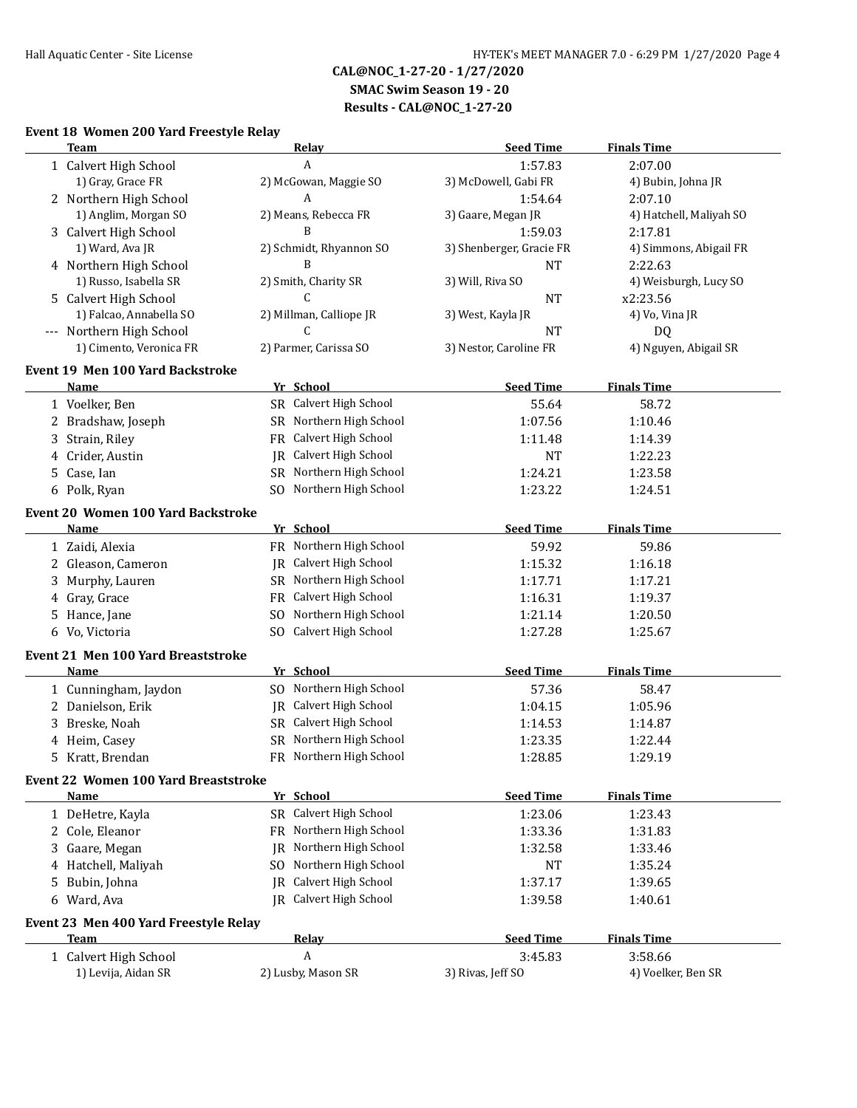## **SMAC Swim Season 19 - 20 Results - CAL@NOC\_1-27-20**

## **Event 18 Women 200 Yard Freestyle Relay**

| <b>Team</b>                                 | <b>Relay</b>                | <b>Seed Time</b>         | <b>Finals Time</b>      |
|---------------------------------------------|-----------------------------|--------------------------|-------------------------|
| 1 Calvert High School                       | A                           | 1:57.83                  | 2:07.00                 |
| 1) Gray, Grace FR                           | 2) McGowan, Maggie SO       | 3) McDowell, Gabi FR     | 4) Bubin, Johna JR      |
| 2 Northern High School                      | A                           | 1:54.64                  | 2:07.10                 |
| 1) Anglim, Morgan SO                        | 2) Means, Rebecca FR        | 3) Gaare, Megan JR       | 4) Hatchell, Maliyah SO |
| 3 Calvert High School                       | B                           | 1:59.03                  | 2:17.81                 |
| 1) Ward, Ava JR                             | 2) Schmidt, Rhyannon SO     | 3) Shenberger, Gracie FR | 4) Simmons, Abigail FR  |
| 4 Northern High School                      | B                           | <b>NT</b>                | 2:22.63                 |
| 1) Russo, Isabella SR                       | 2) Smith, Charity SR        | 3) Will, Riva SO         | 4) Weisburgh, Lucy SO   |
| 5 Calvert High School                       | C                           | <b>NT</b>                | x2:23.56                |
| 1) Falcao, Annabella SO                     | 2) Millman, Calliope JR     | 3) West, Kayla JR        | 4) Vo, Vina JR          |
| --- Northern High School                    | C                           | <b>NT</b>                | DQ                      |
| 1) Cimento, Veronica FR                     | 2) Parmer, Carissa SO       | 3) Nestor, Caroline FR   | 4) Nguyen, Abigail SR   |
| <b>Event 19 Men 100 Yard Backstroke</b>     |                             |                          |                         |
| Name                                        | Yr School                   | <b>Seed Time</b>         | <b>Finals Time</b>      |
| 1 Voelker, Ben                              | SR Calvert High School      | 55.64                    | 58.72                   |
| 2 Bradshaw, Joseph                          | SR Northern High School     | 1:07.56                  | 1:10.46                 |
| 3 Strain, Riley                             | FR Calvert High School      |                          |                         |
|                                             | JR Calvert High School      | 1:11.48                  | 1:14.39                 |
| 4 Crider, Austin                            | SR Northern High School     | <b>NT</b>                | 1:22.23                 |
| 5 Case, Ian                                 |                             | 1:24.21                  | 1:23.58                 |
| 6 Polk, Ryan                                | SO Northern High School     | 1:23.22                  | 1:24.51                 |
| <b>Event 20 Women 100 Yard Backstroke</b>   |                             |                          |                         |
| <u>Name</u>                                 | Yr School                   | <b>Seed Time</b>         | <b>Finals Time</b>      |
| 1 Zaidi, Alexia                             | FR Northern High School     | 59.92                    | 59.86                   |
| 2 Gleason, Cameron                          | JR Calvert High School      | 1:15.32                  | 1:16.18                 |
| Murphy, Lauren<br>3.                        | SR Northern High School     | 1:17.71                  | 1:17.21                 |
| 4 Gray, Grace                               | Calvert High School<br>FR   | 1:16.31                  | 1:19.37                 |
| 5 Hance, Jane                               | Northern High School<br>SO. | 1:21.14                  | 1:20.50                 |
| 6 Vo, Victoria                              | SO Calvert High School      | 1:27.28                  | 1:25.67                 |
|                                             |                             |                          |                         |
| Event 21 Men 100 Yard Breaststroke          |                             |                          |                         |
| <b>Name</b>                                 | Yr School                   | <b>Seed Time</b>         | <b>Finals Time</b>      |
| 1 Cunningham, Jaydon                        | SO Northern High School     | 57.36                    | 58.47                   |
| 2 Danielson, Erik                           | JR Calvert High School      | 1:04.15                  | 1:05.96                 |
| Breske, Noah<br>3                           | SR Calvert High School      | 1:14.53                  | 1:14.87                 |
| 4 Heim, Casey                               | SR Northern High School     | 1:23.35                  | 1:22.44                 |
| 5 Kratt, Brendan                            | FR Northern High School     | 1:28.85                  | 1:29.19                 |
| <b>Event 22 Women 100 Yard Breaststroke</b> |                             |                          |                         |
| Name                                        | Yr School                   | <b>Seed Time</b>         | <b>Finals Time</b>      |
| 1 DeHetre, Kayla                            | SR Calvert High School      | 1:23.06                  | 1:23.43                 |
| 2 Cole, Eleanor                             | FR Northern High School     | 1:33.36                  | 1:31.83                 |
| Gaare, Megan                                | Northern High School<br>IR  | 1:32.58                  | 1:33.46                 |
| Hatchell, Maliyah<br>4                      | Northern High School<br>SO. | NT                       | 1:35.24                 |
| Bubin, Johna<br>5                           | Calvert High School<br>IR   | 1:37.17                  | 1:39.65                 |
| 6 Ward, Ava                                 | JR Calvert High School      | 1:39.58                  | 1:40.61                 |
|                                             |                             |                          |                         |
| Event 23 Men 400 Yard Freestyle Relay       |                             |                          |                         |
| <b>Team</b>                                 | Relay                       | <b>Seed Time</b>         | <b>Finals Time</b>      |
| 1 Calvert High School                       | A                           | 3:45.83                  | 3:58.66                 |
| 1) Levija, Aidan SR                         | 2) Lusby, Mason SR          | 3) Rivas, Jeff SO        | 4) Voelker, Ben SR      |